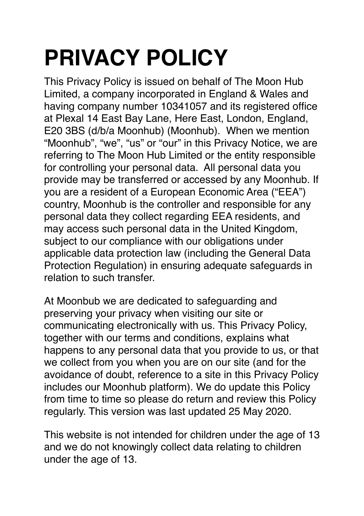# **PRIVACY POLICY**

This Privacy Policy is issued on behalf of The Moon Hub Limited, a company incorporated in England & Wales and having company number 10341057 and its registered office at Plexal 14 East Bay Lane, Here East, London, England, E20 3BS (d/b/a Moonhub) (Moonhub). When we mention "Moonhub", "we", "us" or "our" in this Privacy Notice, we are referring to The Moon Hub Limited or the entity responsible for controlling your personal data. All personal data you provide may be transferred or accessed by any Moonhub. If you are a resident of a European Economic Area ("EEA") country, Moonhub is the controller and responsible for any personal data they collect regarding EEA residents, and may access such personal data in the United Kingdom, subject to our compliance with our obligations under applicable data protection law (including the General Data Protection Regulation) in ensuring adequate safeguards in relation to such transfer.

At Moonbub we are dedicated to safeguarding and preserving your privacy when visiting our site or communicating electronically with us. This Privacy Policy, together with our terms and conditions, explains what happens to any personal data that you provide to us, or that we collect from you when you are on our site (and for the avoidance of doubt, reference to a site in this Privacy Policy includes our Moonhub platform). We do update this Policy from time to time so please do return and review this Policy regularly. This version was last updated 25 May 2020.

This website is not intended for children under the age of 13 and we do not knowingly collect data relating to children under the age of 13.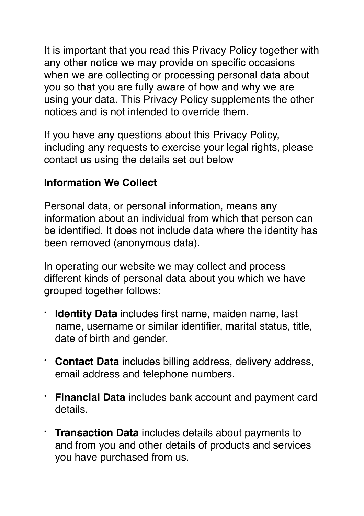It is important that you read this Privacy Policy together with any other notice we may provide on specific occasions when we are collecting or processing personal data about you so that you are fully aware of how and why we are using your data. This Privacy Policy supplements the other notices and is not intended to override them.

If you have any questions about this Privacy Policy, including any requests to exercise your legal rights, please contact us using the details set out below

#### **Information We Collect**

Personal data, or personal information, means any information about an individual from which that person can be identified. It does not include data where the identity has been removed (anonymous data).

In operating our website we may collect and process different kinds of personal data about you which we have grouped together follows:

- **Identity Data** includes first name, maiden name, last name, username or similar identifier, marital status, title, date of birth and gender.
- **Contact Data** includes billing address, delivery address, email address and telephone numbers.
- **Financial Data** includes bank account and payment card details.
- **Transaction Data** includes details about payments to and from you and other details of products and services you have purchased from us.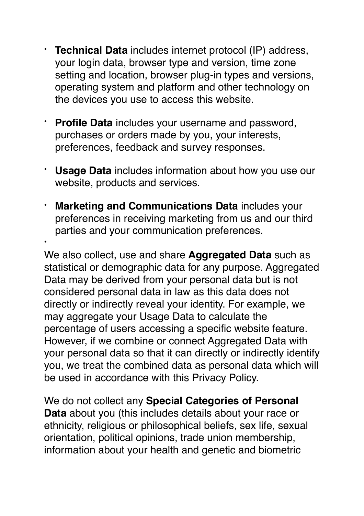- **Technical Data** includes internet protocol (IP) address, your login data, browser type and version, time zone setting and location, browser plug-in types and versions, operating system and platform and other technology on the devices you use to access this website.
- **Profile Data** includes your username and password, purchases or orders made by you, your interests, preferences, feedback and survey responses.
- **Usage Data** includes information about how you use our website, products and services.
- **Marketing and Communications Data** includes your preferences in receiving marketing from us and our third parties and your communication preferences.

•

We also collect, use and share **Aggregated Data** such as statistical or demographic data for any purpose. Aggregated Data may be derived from your personal data but is not considered personal data in law as this data does not directly or indirectly reveal your identity. For example, we may aggregate your Usage Data to calculate the percentage of users accessing a specific website feature. However, if we combine or connect Aggregated Data with your personal data so that it can directly or indirectly identify you, we treat the combined data as personal data which will be used in accordance with this Privacy Policy.

We do not collect any **Special Categories of Personal Data** about you (this includes details about your race or ethnicity, religious or philosophical beliefs, sex life, sexual orientation, political opinions, trade union membership, information about your health and genetic and biometric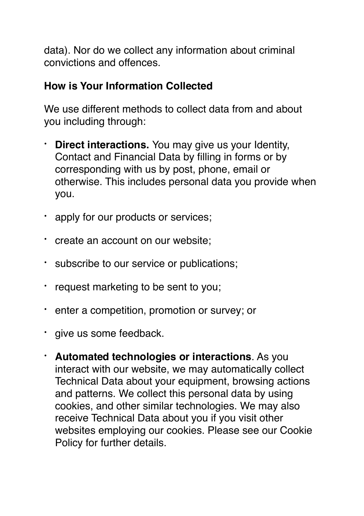data). Nor do we collect any information about criminal convictions and offences.

# **How is Your Information Collected**

We use different methods to collect data from and about you including through:

- **Direct interactions.** You may give us your Identity, Contact and Financial Data by filling in forms or by corresponding with us by post, phone, email or otherwise. This includes personal data you provide when you.
- apply for our products or services;
- create an account on our website;
- subscribe to our service or publications;
- request marketing to be sent to you;
- enter a competition, promotion or survey; or
- give us some feedback.
- **Automated technologies or interactions**. As you interact with our website, we may automatically collect Technical Data about your equipment, browsing actions and patterns. We collect this personal data by using cookies, and other similar technologies. We may also receive Technical Data about you if you visit other websites employing our cookies. Please see our Cookie Policy for further details.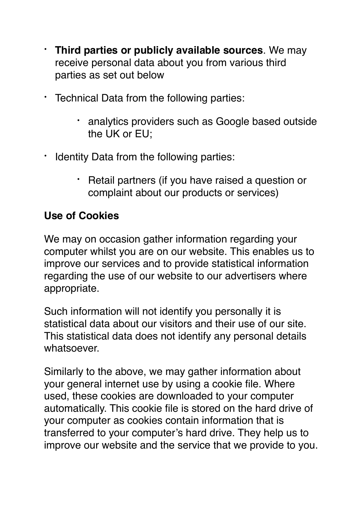- **Third parties or publicly available sources**. We may receive personal data about you from various third parties as set out below
- Technical Data from the following parties:
	- analytics providers such as Google based outside the UK or EU;
- Identity Data from the following parties:
	- Retail partners (if you have raised a question or complaint about our products or services)

# **Use of Cookies**

We may on occasion gather information regarding your computer whilst you are on our website. This enables us to improve our services and to provide statistical information regarding the use of our website to our advertisers where appropriate.

Such information will not identify you personally it is statistical data about our visitors and their use of our site. This statistical data does not identify any personal details whatsoever.

Similarly to the above, we may gather information about your general internet use by using a cookie file. Where used, these cookies are downloaded to your computer automatically. This cookie file is stored on the hard drive of your computer as cookies contain information that is transferred to your computer's hard drive. They help us to improve our website and the service that we provide to you.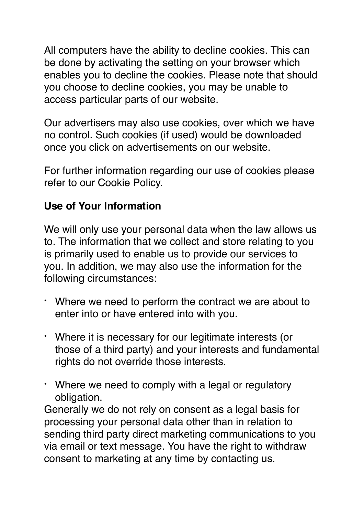All computers have the ability to decline cookies. This can be done by activating the setting on your browser which enables you to decline the cookies. Please note that should you choose to decline cookies, you may be unable to access particular parts of our website.

Our advertisers may also use cookies, over which we have no control. Such cookies (if used) would be downloaded once you click on advertisements on our website.

For further information regarding our use of cookies please refer to our Cookie Policy.

## **Use of Your Information**

We will only use your personal data when the law allows us to. The information that we collect and store relating to you is primarily used to enable us to provide our services to you. In addition, we may also use the information for the following circumstances:

- Where we need to perform the contract we are about to enter into or have entered into with you.
- Where it is necessary for our legitimate interests (or those of a third party) and your interests and fundamental rights do not override those interests.
- Where we need to comply with a legal or regulatory obligation.

Generally we do not rely on consent as a legal basis for processing your personal data other than in relation to sending third party direct marketing communications to you via email or text message. You have the right to withdraw consent to marketing at any time by contacting us.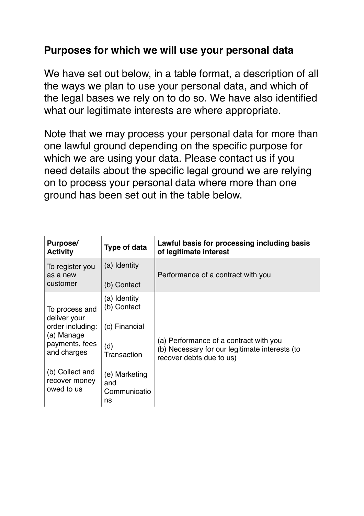#### **Purposes for which we will use your personal data**

We have set out below, in a table format, a description of all the ways we plan to use your personal data, and which of the legal bases we rely on to do so. We have also identified what our legitimate interests are where appropriate.

Note that we may process your personal data for more than one lawful ground depending on the specific purpose for which we are using your data. Please contact us if you need details about the specific legal ground we are relying on to process your personal data where more than one ground has been set out in the table below.

| Purpose/<br><b>Activity</b>                                                                                                                         | Type of data                                                                                                     | Lawful basis for processing including basis<br>of legitimate interest                                                |
|-----------------------------------------------------------------------------------------------------------------------------------------------------|------------------------------------------------------------------------------------------------------------------|----------------------------------------------------------------------------------------------------------------------|
| To register you<br>as a new<br>customer                                                                                                             | (a) Identity<br>(b) Contact                                                                                      | Performance of a contract with you                                                                                   |
| To process and<br>deliver your<br>order including:<br>(a) Manage<br>payments, fees<br>and charges<br>(b) Collect and<br>recover money<br>owed to us | (a) Identity<br>(b) Contact<br>(c) Financial<br>(d)<br>Transaction<br>(e) Marketing<br>and<br>Communicatio<br>ns | (a) Performance of a contract with you<br>(b) Necessary for our legitimate interests (to<br>recover debts due to us) |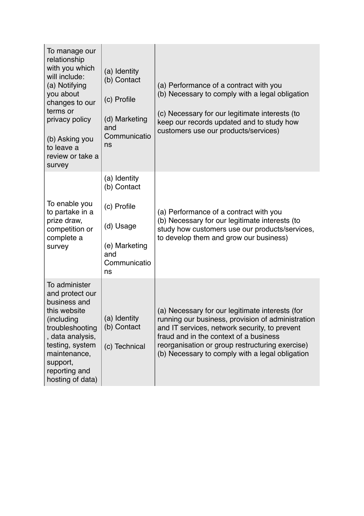| To manage our<br>relationship<br>with you which<br>will include:<br>(a) Notifying<br>you about<br>changes to our<br>terms or<br>privacy policy<br>(b) Asking you<br>to leave a<br>review or take a<br>survey | (a) Identity<br>(b) Contact<br>(c) Profile<br>(d) Marketing<br>and<br>Communicatio<br>ns              | (a) Performance of a contract with you<br>(b) Necessary to comply with a legal obligation<br>(c) Necessary for our legitimate interests (to<br>keep our records updated and to study how<br>customers use our products/services)                                                                      |
|--------------------------------------------------------------------------------------------------------------------------------------------------------------------------------------------------------------|-------------------------------------------------------------------------------------------------------|-------------------------------------------------------------------------------------------------------------------------------------------------------------------------------------------------------------------------------------------------------------------------------------------------------|
| To enable you<br>to partake in a<br>prize draw,<br>competition or<br>complete a<br>survey                                                                                                                    | (a) Identity<br>(b) Contact<br>(c) Profile<br>(d) Usage<br>(e) Marketing<br>and<br>Communicatio<br>ns | (a) Performance of a contract with you<br>(b) Necessary for our legitimate interests (to<br>study how customers use our products/services,<br>to develop them and grow our business)                                                                                                                  |
| To administer<br>and protect our<br>business and<br>this website<br>(including<br>troubleshooting<br>, data analysis,<br>testing, system<br>maintenance,<br>support,<br>reporting and<br>hosting of data)    | (a) Identity<br>(b) Contact<br>(c) Technical                                                          | (a) Necessary for our legitimate interests (for<br>running our business, provision of administration<br>and IT services, network security, to prevent<br>fraud and in the context of a business<br>reorganisation or group restructuring exercise)<br>(b) Necessary to comply with a legal obligation |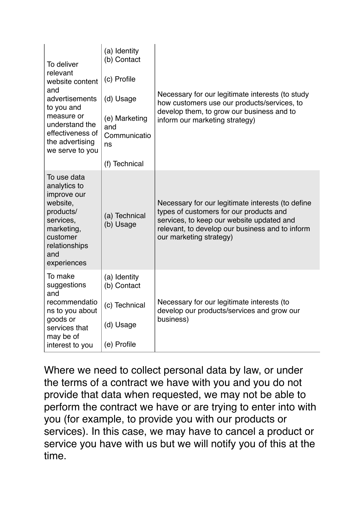| To deliver<br>relevant<br>website content<br>and<br>advertisements<br>to you and<br>measure or<br>understand the<br>effectiveness of<br>the advertising<br>we serve to you | (a) Identity<br>(b) Contact<br>(c) Profile<br>(d) Usage<br>(e) Marketing<br>and<br>Communicatio<br>ns<br>(f) Technical | Necessary for our legitimate interests (to study<br>how customers use our products/services, to<br>develop them, to grow our business and to<br>inform our marketing strategy)                                          |
|----------------------------------------------------------------------------------------------------------------------------------------------------------------------------|------------------------------------------------------------------------------------------------------------------------|-------------------------------------------------------------------------------------------------------------------------------------------------------------------------------------------------------------------------|
| To use data<br>analytics to<br>improve our<br>website,<br>products/<br>services,<br>marketing,<br>customer<br>relationships<br>and<br>experiences                          | (a) Technical<br>(b) Usage                                                                                             | Necessary for our legitimate interests (to define<br>types of customers for our products and<br>services, to keep our website updated and<br>relevant, to develop our business and to inform<br>our marketing strategy) |
| To make<br>suggestions<br>and<br>recommendatio<br>ns to you about<br>goods or<br>services that<br>may be of<br>interest to you                                             | (a) Identity<br>(b) Contact<br>(c) Technical<br>(d) Usage<br>(e) Profile                                               | Necessary for our legitimate interests (to<br>develop our products/services and grow our<br>business)                                                                                                                   |

Where we need to collect personal data by law, or under the terms of a contract we have with you and you do not provide that data when requested, we may not be able to perform the contract we have or are trying to enter into with you (for example, to provide you with our products or services). In this case, we may have to cancel a product or service you have with us but we will notify you of this at the time.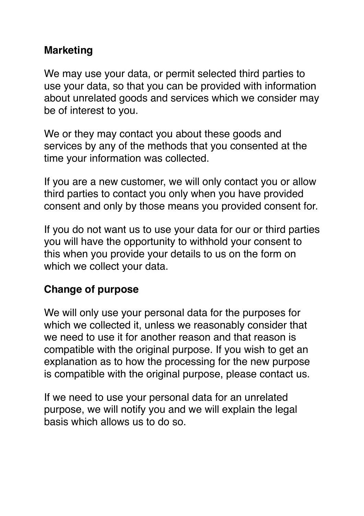## **Marketing**

We may use your data, or permit selected third parties to use your data, so that you can be provided with information about unrelated goods and services which we consider may be of interest to you.

We or they may contact you about these goods and services by any of the methods that you consented at the time your information was collected.

If you are a new customer, we will only contact you or allow third parties to contact you only when you have provided consent and only by those means you provided consent for.

If you do not want us to use your data for our or third parties you will have the opportunity to withhold your consent to this when you provide your details to us on the form on which we collect your data.

## **Change of purpose**

We will only use your personal data for the purposes for which we collected it, unless we reasonably consider that we need to use it for another reason and that reason is compatible with the original purpose. If you wish to get an explanation as to how the processing for the new purpose is compatible with the original purpose, please contact us.

If we need to use your personal data for an unrelated purpose, we will notify you and we will explain the legal basis which allows us to do so.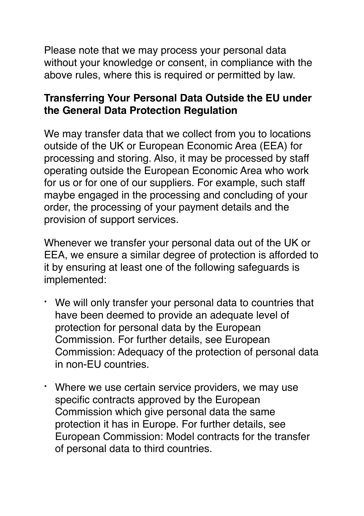Please note that we may process your personal data without your knowledge or consent, in compliance with the above rules, where this is required or permitted by law.

## **Transferring Your Personal Data Outside the EU under the General Data Protection Regulation**

We may transfer data that we collect from you to locations outside of the UK or European Economic Area (EEA) for processing and storing. Also, it may be processed by staff operating outside the European Economic Area who work for us or for one of our suppliers. For example, such staff maybe engaged in the processing and concluding of your order, the processing of your payment details and the provision of support services.

Whenever we transfer your personal data out of the UK or EEA, we ensure a similar degree of protection is afforded to it by ensuring at least one of the following safeguards is implemented:

- We will only transfer your personal data to countries that have been deemed to provide an adequate level of protection for personal data by the European Commission. For further details, see European Commission: Adequacy of the protection of personal data in non-EU countries.
- Where we use certain service providers, we may use specific contracts approved by the European Commission which give personal data the same protection it has in Europe. For further details, see European Commission: Model contracts for the transfer of personal data to third countries.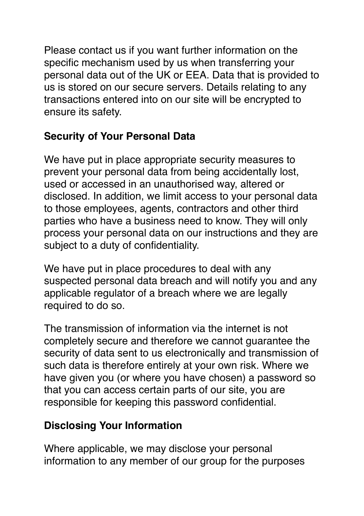Please contact us if you want further information on the specific mechanism used by us when transferring your personal data out of the UK or EEA. Data that is provided to us is stored on our secure servers. Details relating to any transactions entered into on our site will be encrypted to ensure its safety.

## **Security of Your Personal Data**

We have put in place appropriate security measures to prevent your personal data from being accidentally lost, used or accessed in an unauthorised way, altered or disclosed. In addition, we limit access to your personal data to those employees, agents, contractors and other third parties who have a business need to know. They will only process your personal data on our instructions and they are subject to a duty of confidentiality.

We have put in place procedures to deal with any suspected personal data breach and will notify you and any applicable regulator of a breach where we are legally required to do so.

The transmission of information via the internet is not completely secure and therefore we cannot guarantee the security of data sent to us electronically and transmission of such data is therefore entirely at your own risk. Where we have given you (or where you have chosen) a password so that you can access certain parts of our site, you are responsible for keeping this password confidential.

## **Disclosing Your Information**

Where applicable, we may disclose your personal information to any member of our group for the purposes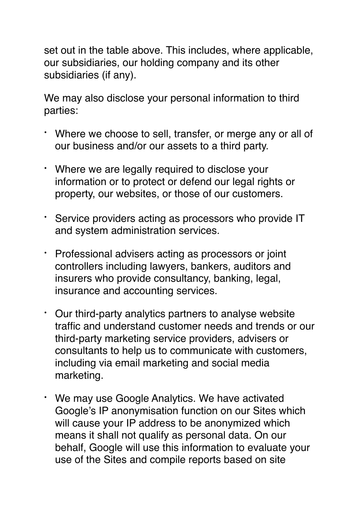set out in the table above. This includes, where applicable, our subsidiaries, our holding company and its other subsidiaries (if any).

We may also disclose your personal information to third parties:

- Where we choose to sell, transfer, or merge any or all of our business and/or our assets to a third party.
- Where we are legally required to disclose your information or to protect or defend our legal rights or property, our websites, or those of our customers.
- Service providers acting as processors who provide IT and system administration services.
- Professional advisers acting as processors or joint controllers including lawyers, bankers, auditors and insurers who provide consultancy, banking, legal, insurance and accounting services.
- Our third-party analytics partners to analyse website traffic and understand customer needs and trends or our third-party marketing service providers, advisers or consultants to help us to communicate with customers, including via email marketing and social media marketing.
- We may use Google Analytics. We have activated Google's IP anonymisation function on our Sites which will cause your IP address to be anonymized which means it shall not qualify as personal data. On our behalf, Google will use this information to evaluate your use of the Sites and compile reports based on site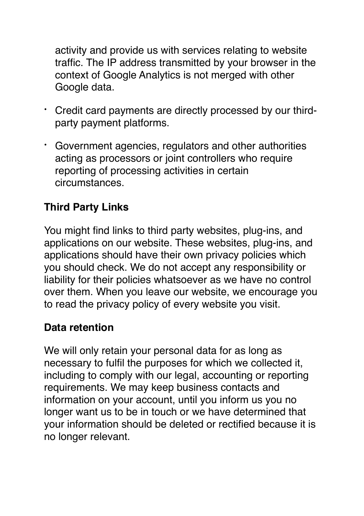activity and provide us with services relating to website traffic. The IP address transmitted by your browser in the context of Google Analytics is not merged with other Google data.

- Credit card payments are directly processed by our thirdparty payment platforms.
- Government agencies, regulators and other authorities acting as processors or joint controllers who require reporting of processing activities in certain circumstances.

# **Third Party Links**

You might find links to third party websites, plug-ins, and applications on our website. These websites, plug-ins, and applications should have their own privacy policies which you should check. We do not accept any responsibility or liability for their policies whatsoever as we have no control over them. When you leave our website, we encourage you to read the privacy policy of every website you visit.

# **Data retention**

We will only retain your personal data for as long as necessary to fulfil the purposes for which we collected it, including to comply with our legal, accounting or reporting requirements. We may keep business contacts and information on your account, until you inform us you no longer want us to be in touch or we have determined that your information should be deleted or rectified because it is no longer relevant.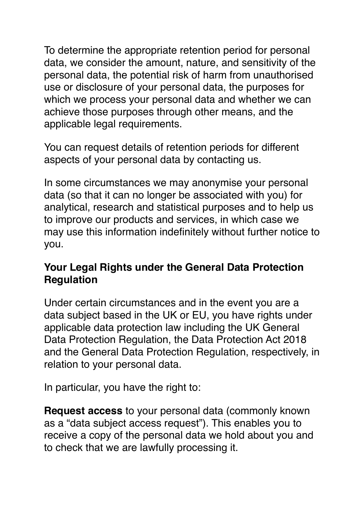To determine the appropriate retention period for personal data, we consider the amount, nature, and sensitivity of the personal data, the potential risk of harm from unauthorised use or disclosure of your personal data, the purposes for which we process your personal data and whether we can achieve those purposes through other means, and the applicable legal requirements.

You can request details of retention periods for different aspects of your personal data by contacting us.

In some circumstances we may anonymise your personal data (so that it can no longer be associated with you) for analytical, research and statistical purposes and to help us to improve our products and services, in which case we may use this information indefinitely without further notice to you.

#### **Your Legal Rights under the General Data Protection Regulation**

Under certain circumstances and in the event you are a data subject based in the UK or EU, you have rights under applicable data protection law including the UK General Data Protection Regulation, the Data Protection Act 2018 and the General Data Protection Regulation, respectively, in relation to your personal data.

In particular, you have the right to:

**Request access** to your personal data (commonly known as a "data subject access request"). This enables you to receive a copy of the personal data we hold about you and to check that we are lawfully processing it.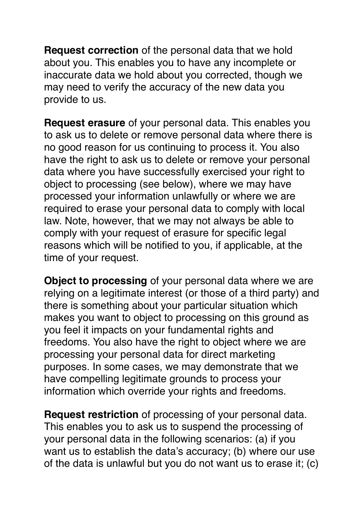**Request correction** of the personal data that we hold about you. This enables you to have any incomplete or inaccurate data we hold about you corrected, though we may need to verify the accuracy of the new data you provide to us.

**Request erasure** of your personal data. This enables you to ask us to delete or remove personal data where there is no good reason for us continuing to process it. You also have the right to ask us to delete or remove your personal data where you have successfully exercised your right to object to processing (see below), where we may have processed your information unlawfully or where we are required to erase your personal data to comply with local law. Note, however, that we may not always be able to comply with your request of erasure for specific legal reasons which will be notified to you, if applicable, at the time of your request.

**Object to processing** of your personal data where we are relying on a legitimate interest (or those of a third party) and there is something about your particular situation which makes you want to object to processing on this ground as you feel it impacts on your fundamental rights and freedoms. You also have the right to object where we are processing your personal data for direct marketing purposes. In some cases, we may demonstrate that we have compelling legitimate grounds to process your information which override your rights and freedoms.

**Request restriction** of processing of your personal data. This enables you to ask us to suspend the processing of your personal data in the following scenarios: (a) if you want us to establish the data's accuracy; (b) where our use of the data is unlawful but you do not want us to erase it; (c)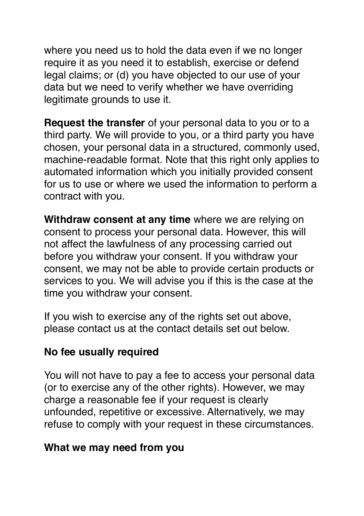where you need us to hold the data even if we no longer require it as you need it to establish, exercise or defend legal claims; or (d) you have objected to our use of your data but we need to verify whether we have overriding legitimate grounds to use it.

**Request the transfer** of your personal data to you or to a third party. We will provide to you, or a third party you have chosen, your personal data in a structured, commonly used, machine-readable format. Note that this right only applies to automated information which you initially provided consent for us to use or where we used the information to perform a contract with you.

**Withdraw consent at any time** where we are relying on consent to process your personal data. However, this will not affect the lawfulness of any processing carried out before you withdraw your consent. If you withdraw your consent, we may not be able to provide certain products or services to you. We will advise you if this is the case at the time you withdraw your consent.

If you wish to exercise any of the rights set out above, please contact us at the contact details set out below.

#### **No fee usually required**

You will not have to pay a fee to access your personal data (or to exercise any of the other rights). However, we may charge a reasonable fee if your request is clearly unfounded, repetitive or excessive. Alternatively, we may refuse to comply with your request in these circumstances.

#### **What we may need from you**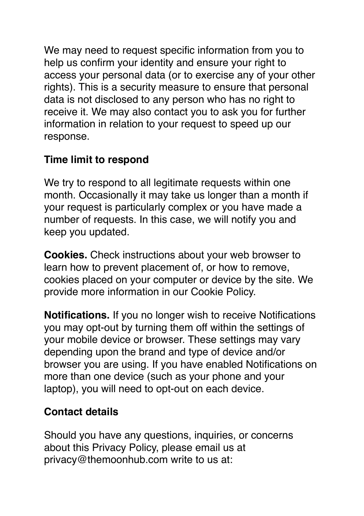We may need to request specific information from you to help us confirm your identity and ensure your right to access your personal data (or to exercise any of your other rights). This is a security measure to ensure that personal data is not disclosed to any person who has no right to receive it. We may also contact you to ask you for further information in relation to your request to speed up our response.

# **Time limit to respond**

We try to respond to all legitimate requests within one month. Occasionally it may take us longer than a month if your request is particularly complex or you have made a number of requests. In this case, we will notify you and keep you updated.

**Cookies.** Check instructions about your web browser to learn how to prevent placement of, or how to remove, cookies placed on your computer or device by the site. We provide more information in our Cookie Policy.

**Notifications.** If you no longer wish to receive Notifications you may opt-out by turning them off within the settings of your mobile device or browser. These settings may vary depending upon the brand and type of device and/or browser you are using. If you have enabled Notifications on more than one device (such as your phone and your laptop), you will need to opt-out on each device.

# **Contact details**

Should you have any questions, inquiries, or concerns about this Privacy Policy, please email us at privacy@themoonhub.com write to us at: